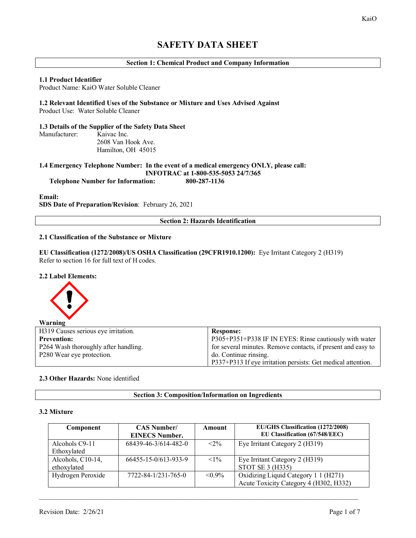# **SAFETY DATA SHEET**

# **Section 1: Chemical Product and Company Information**

#### **1.1 Product Identifier**

Product Name: KaiO Water Soluble Cleaner

#### **1.2 Relevant Identified Uses of the Substance or Mixture and Uses Advised Against** Product Use: Water Soluble Cleaner

**1.3 Details of the Supplier of the Safety Data Sheet** Manufacturer: Kaivac Inc. 2608 Van Hook Ave. Hamilton, OH 45015

**1.4 Emergency Telephone Number: In the event of a medical emergency ONLY, please call: INFOTRAC at 1-800-535-5053 24/7/365 Telephone Number for Information: 800-287-1136**

#### **Email:**

**SDS Date of Preparation/Revision**: February 26, 2021

**Section 2: Hazards Identification**

## **2.1 Classification of the Substance or Mixture**

**EU Classification (1272/2008)/US OSHA Classification (29CFR1910.1200):** Eye Irritant Category 2 (H319) Refer to section 16 for full text of H codes.

#### **2.2 Label Elements:**



| H319 Causes serious eye irritation.  | <b>Response:</b>                                             |
|--------------------------------------|--------------------------------------------------------------|
| <b>Prevention:</b>                   | P305+P351+P338 IF IN EYES: Rinse cautiously with water       |
| P264 Wash thoroughly after handling. | for several minutes. Remove contacts, if present and easy to |
| P280 Wear eye protection.            | do. Continue rinsing.                                        |
|                                      | P337+P313 If eye irritation persists: Get medical attention. |

## **2.3 Other Hazards:** None identified

## **Section 3: Composition/Information on Ingredients**

## **3.2 Mixture**

| Component         | <b>CAS Number/</b><br><b>EINECS Number.</b> | Amount    | <b>EU/GHS Classification (1272/2008)</b><br>EU Classification (67/548/EEC) |
|-------------------|---------------------------------------------|-----------|----------------------------------------------------------------------------|
| Alcohols C9-11    | 68439-46-3/614-482-0                        | $< 2\%$   | Eye Irritant Category 2 (H319)                                             |
| Ethoxylated       |                                             |           |                                                                            |
| Alcohols, C10-14, | 66455-15-0/613-933-9                        | $< 1\%$   | Eye Irritant Category 2 (H319)                                             |
| ethoxylated       |                                             |           | STOT SE 3 (H335)                                                           |
| Hydrogen Peroxide | $7722 - 84 - 1/231 - 765 - 0$               | $< 0.9\%$ | Oxidizing Liquid Category 1 1 (H271)                                       |
|                   |                                             |           | Acute Toxicity Category 4 (H302, H332)                                     |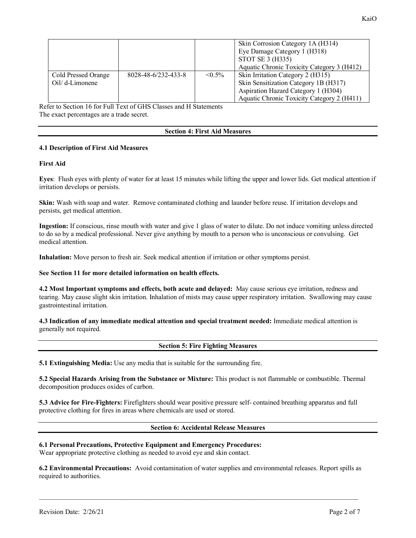|                     |                     |              | Skin Corrosion Category 1A (H314)<br>Eye Damage Category 1 (H318)<br>STOT SE 3 (H335)<br>Aquatic Chronic Toxicity Category 3 (H412) |
|---------------------|---------------------|--------------|-------------------------------------------------------------------------------------------------------------------------------------|
| Cold Pressed Orange | 8028-48-6/232-433-8 | $\leq 0.5\%$ | Skin Irritation Category 2 (H315)                                                                                                   |
| Oil/ d-Limonene     |                     |              | Skin Sensitization Category 1B (H317)                                                                                               |
|                     |                     |              | Aspiration Hazard Category 1 (H304)                                                                                                 |
|                     |                     |              | Aquatic Chronic Toxicity Category 2 (H411)                                                                                          |

Refer to Section 16 for Full Text of GHS Classes and H Statements The exact percentages are a trade secret.

#### **Section 4: First Aid Measures**

# **4.1 Description of First Aid Measures**

## **First Aid**

**Eyes**: Flush eyes with plenty of water for at least 15 minutes while lifting the upper and lower lids. Get medical attention if irritation develops or persists.

**Skin:** Wash with soap and water. Remove contaminated clothing and launder before reuse. If irritation develops and persists, get medical attention.

**Ingestion:** If conscious, rinse mouth with water and give 1 glass of water to dilute. Do not induce vomiting unless directed to do so by a medical professional. Never give anything by mouth to a person who is unconscious or convulsing. Get medical attention.

**Inhalation:** Move person to fresh air. Seek medical attention if irritation or other symptoms persist.

## **See Section 11 for more detailed information on health effects.**

**4.2 Most Important symptoms and effects, both acute and delayed:** May cause serious eye irritation, redness and tearing. May cause slight skin irritation. Inhalation of mists may cause upper respiratory irritation. Swallowing may cause gastrointestinal irritation.

**4.3 Indication of any immediate medical attention and special treatment needed:** Immediate medical attention is generally not required.

# **Section 5: Fire Fighting Measures**

**5.1 Extinguishing Media:** Use any media that is suitable for the surrounding fire.

**5.2 Special Hazards Arising from the Substance or Mixture:** This product is not flammable or combustible. Thermal decomposition produces oxides of carbon.

**5.3 Advice for Fire-Fighters:** Firefighters should wear positive pressure self- contained breathing apparatus and full protective clothing for fires in areas where chemicals are used or stored.

#### **Section 6: Accidental Release Measures**

**6.1 Personal Precautions, Protective Equipment and Emergency Procedures:** Wear appropriate protective clothing as needed to avoid eye and skin contact.

**6.2 Environmental Precautions:** Avoid contamination of water supplies and environmental releases. Report spills as required to authorities.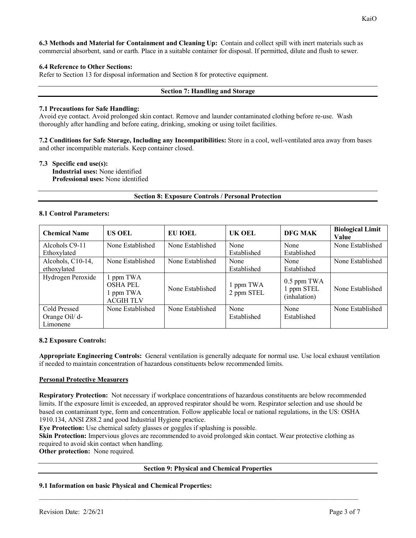# **6.4 Reference to Other Sections:**

Refer to Section 13 for disposal information and Section 8 for protective equipment.

#### **Section 7: Handling and Storage**

## **7.1 Precautions for Safe Handling:**

Avoid eye contact. Avoid prolonged skin contact. Remove and launder contaminated clothing before re-use. Wash thoroughly after handling and before eating, drinking, smoking or using toilet facilities.

**7.2 Conditions for Safe Storage, Including any Incompatibilities:** Store in a cool, well-ventilated area away from bases and other incompatible materials. Keep container closed.

## **7.3 Specific end use(s):**

**Industrial uses:** None identified **Professional uses:** None identified

## **Section 8: Exposure Controls / Personal Protection**

## **8.1 Control Parameters:**

| <b>Chemical Name</b>                       | <b>US OEL</b>                                                 | <b>EU IOEL</b>   | UK OEL                  | DFG MAK                                     | <b>Biological Limit</b><br><b>Value</b> |
|--------------------------------------------|---------------------------------------------------------------|------------------|-------------------------|---------------------------------------------|-----------------------------------------|
| Alcohols C9-11<br>Ethoxylated              | None Established                                              | None Established | None<br>Established     | None<br>Established                         | None Established                        |
| Alcohols, C10-14,<br>ethoxylated           | None Established                                              | None Established | None<br>Established     | None<br>Established                         | None Established                        |
| Hydrogen Peroxide                          | 1 ppm TWA<br><b>OSHA PEL</b><br>1 ppm TWA<br><b>ACGIH TLV</b> | None Established | 1 ppm TWA<br>2 ppm STEL | $0.5$ ppm TWA<br>1 ppm STEL<br>(inhalation) | None Established                        |
| Cold Pressed<br>Orange Oil/ d-<br>Limonene | None Established                                              | None Established | None<br>Established     | None<br>Established                         | None Established                        |

#### **8.2 Exposure Controls:**

**Appropriate Engineering Controls:** General ventilation is generally adequate for normal use. Use local exhaust ventilation if needed to maintain concentration of hazardous constituents below recommended limits.

# **Personal Protective Measurers**

**Respiratory Protection:** Not necessary if workplace concentrations of hazardous constituents are below recommended limits. If the exposure limit is exceeded, an approved respirator should be worn. Respirator selection and use should be based on contaminant type, form and concentration. Follow applicable local or national regulations, in the US: OSHA 1910.134, ANSI Z88.2 and good Industrial Hygiene practice.

**Eye Protection:** Use chemical safety glasses or goggles if splashing is possible.

**Skin Protection:** Impervious gloves are recommended to avoid prolonged skin contact. Wear protective clothing as required to avoid skin contact when handling.

\_\_\_\_\_\_\_\_\_\_\_\_\_\_\_\_\_\_\_\_\_\_\_\_\_\_\_\_\_\_\_\_\_\_\_\_\_\_\_\_\_\_\_\_\_\_\_\_\_\_\_\_\_\_\_\_\_\_\_\_\_\_\_\_\_\_\_\_\_\_\_\_\_\_\_\_\_\_\_\_\_\_\_\_\_\_\_\_\_\_\_\_\_\_

**Other protection:** None required.

#### **Section 9: Physical and Chemical Properties**

# **9.1 Information on basic Physical and Chemical Properties:**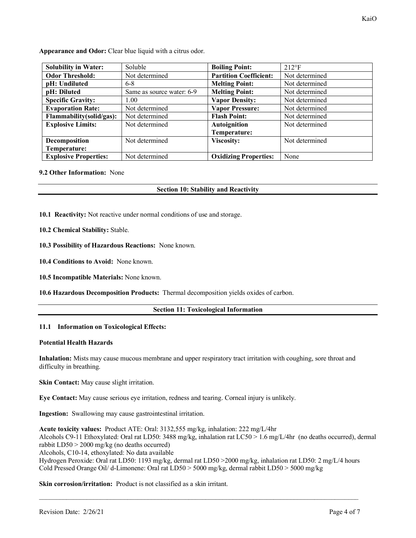**Appearance and Odor:** Clear blue liquid with a citrus odor.

| <b>Solubility in Water:</b>  | Soluble                   | <b>Boiling Point:</b>         | $212^{\circ}F$ |
|------------------------------|---------------------------|-------------------------------|----------------|
| <b>Odor Threshold:</b>       | Not determined            | <b>Partition Coefficient:</b> | Not determined |
| pH: Undiluted                | $6 - 8$                   | <b>Melting Point:</b>         | Not determined |
| pH: Diluted                  | Same as source water: 6-9 | <b>Melting Point:</b>         | Not determined |
| <b>Specific Gravity:</b>     | 1.00                      | <b>Vapor Density:</b>         | Not determined |
| <b>Evaporation Rate:</b>     | Not determined            | <b>Vapor Pressure:</b>        | Not determined |
| Flammability(solid/gas):     | Not determined            | <b>Flash Point:</b>           | Not determined |
| <b>Explosive Limits:</b>     | Not determined            | <b>Autoignition</b>           | Not determined |
|                              |                           | Temperature:                  |                |
| Decomposition                | Not determined            | <b>Viscosity:</b>             | Not determined |
| Temperature:                 |                           |                               |                |
| <b>Explosive Properties:</b> | Not determined            | <b>Oxidizing Properties:</b>  | None           |

## **9.2 Other Information:** None

## **Section 10: Stability and Reactivity**

**10.1 Reactivity:** Not reactive under normal conditions of use and storage.

**10.2 Chemical Stability:** Stable.

**10.3 Possibility of Hazardous Reactions:** None known.

**10.4 Conditions to Avoid:** None known.

**10.5 Incompatible Materials:** None known.

**10.6 Hazardous Decomposition Products:** Thermal decomposition yields oxides of carbon.

#### **Section 11: Toxicological Information**

#### **11.1 Information on Toxicological Effects:**

#### **Potential Health Hazards**

**Inhalation:** Mists may cause mucous membrane and upper respiratory tract irritation with coughing, sore throat and difficulty in breathing.

**Skin Contact:** May cause slight irritation.

**Eye Contact:** May cause serious eye irritation, redness and tearing. Corneal injury is unlikely.

**Ingestion:** Swallowing may cause gastrointestinal irritation.

**Acute toxicity values:** Product ATE: Oral: 3132,555 mg/kg, inhalation: 222 mg/L/4hr Alcohols C9-11 Ethoxylated: Oral rat LD50: 3488 mg/kg, inhalation rat LC50 > 1.6 mg/L/4hr (no deaths occurred), dermal rabbit LD50 > 2000 mg/kg (no deaths occurred) Alcohols, C10-14, ethoxylated: No data available

Hydrogen Peroxide: Oral rat LD50: 1193 mg/kg, dermal rat LD50 >2000 mg/kg, inhalation rat LD50: 2 mg/L/4 hours Cold Pressed Orange Oil/ d-Limonene: Oral rat LD50 > 5000 mg/kg, dermal rabbit LD50 > 5000 mg/kg

\_\_\_\_\_\_\_\_\_\_\_\_\_\_\_\_\_\_\_\_\_\_\_\_\_\_\_\_\_\_\_\_\_\_\_\_\_\_\_\_\_\_\_\_\_\_\_\_\_\_\_\_\_\_\_\_\_\_\_\_\_\_\_\_\_\_\_\_\_\_\_\_\_\_\_\_\_\_\_\_\_\_\_\_\_\_\_\_\_\_\_\_\_\_

**Skin corrosion/irritation:** Product is not classified as a skin irritant.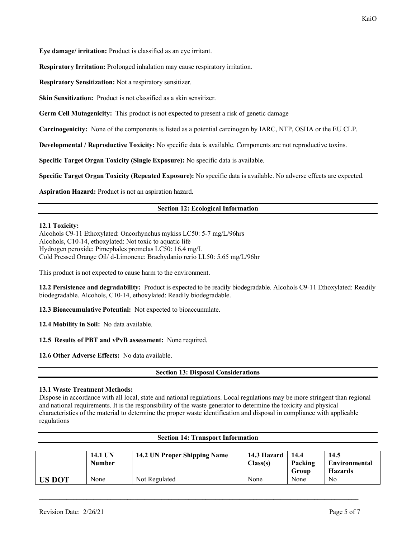KaiO

**Eye damage/ irritation:** Product is classified as an eye irritant.

**Respiratory Irritation:** Prolonged inhalation may cause respiratory irritation.

**Respiratory Sensitization:** Not a respiratory sensitizer.

**Skin Sensitization:** Product is not classified as a skin sensitizer.

**Germ Cell Mutagenicity:** This product is not expected to present a risk of genetic damage

**Carcinogenicity:** None of the components is listed as a potential carcinogen by IARC, NTP, OSHA or the EU CLP.

**Developmental / Reproductive Toxicity:** No specific data is available. Components are not reproductive toxins.

**Specific Target Organ Toxicity (Single Exposure):** No specific data is available.

**Specific Target Organ Toxicity (Repeated Exposure):** No specific data is available. No adverse effects are expected.

**Aspiration Hazard:** Product is not an aspiration hazard.

# **Section 12: Ecological Information**

# **12.1 Toxicity:**

Alcohols C9-11 Ethoxylated: Oncorhynchus mykiss LC50: 5-7 mg/L/96hrs Alcohols, C10-14, ethoxylated: Not toxic to aquatic life Hydrogen peroxide: Pimephales promelas LC50: 16.4 mg/L Cold Pressed Orange Oil/ d-Limonene: Brachydanio rerio LL50: 5.65 mg/L/96hr

This product is not expected to cause harm to the environment.

**12.2 Persistence and degradability:** Product is expected to be readily biodegradable. Alcohols C9-11 Ethoxylated: Readily biodegradable. Alcohols, C10-14, ethoxylated: Readily biodegradable.

**12.3 Bioaccumulative Potential:** Not expected to bioaccumulate.

**12.4 Mobility in Soil:** No data available.

**12.5 Results of PBT and vPvB assessment:** None required.

**12.6 Other Adverse Effects:** No data available.

# **Section 13: Disposal Considerations**

# **13.1 Waste Treatment Methods:**

Dispose in accordance with all local, state and national regulations. Local regulations may be more stringent than regional and national requirements. It is the responsibility of the waste generator to determine the toxicity and physical characteristics of the material to determine the proper waste identification and disposal in compliance with applicable regulations

**Section 14: Transport Information**

| Section 14: Transport Information |                          |                              |                         |                          |                                                |
|-----------------------------------|--------------------------|------------------------------|-------------------------|--------------------------|------------------------------------------------|
|                                   | <b>14.1 UN</b><br>Number | 14.2 UN Proper Shipping Name | 14.3 Hazard<br>Class(s) | 14.4<br>Packing<br>Group | 14.5<br><b>Environmental</b><br><b>Hazards</b> |
| <b>US DOT</b>                     | None                     | Not Regulated                | None                    | None                     | No                                             |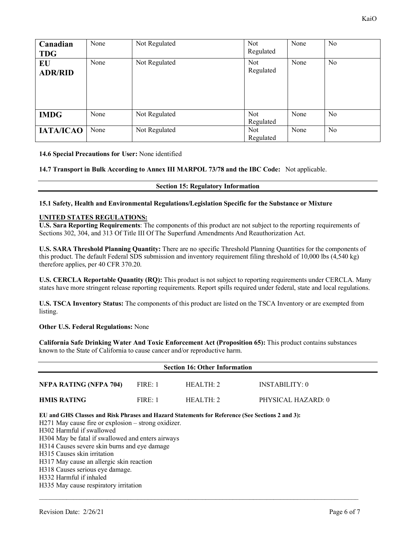| Canadian<br><b>TDG</b> | None | Not Regulated | <b>Not</b><br>Regulated | None | No             |
|------------------------|------|---------------|-------------------------|------|----------------|
| EU<br><b>ADR/RID</b>   | None | Not Regulated | Not<br>Regulated        | None | N <sub>0</sub> |
| <b>IMDG</b>            | None | Not Regulated | <b>Not</b><br>Regulated | None | No             |
| <b>IATA/ICAO</b>       | None | Not Regulated | <b>Not</b><br>Regulated | None | N <sub>0</sub> |

**14.6 Special Precautions for User:** None identified

**14.7 Transport in Bulk According to Annex III MARPOL 73/78 and the IBC Code:** Not applicable.

#### **Section 15: Regulatory Information**

# **15.1 Safety, Health and Environmental Regulations/Legislation Specific for the Substance or Mixture**

#### **UNITED STATES REGULATIONS:**

**U.S. Sara Reporting Requirements**: The components of this product are not subject to the reporting requirements of Sections 302, 304, and 313 Of Title III Of The Superfund Amendments And Reauthorization Act.

**U.S. SARA Threshold Planning Quantity:** There are no specific Threshold Planning Quantities for the components of this product. The default Federal SDS submission and inventory requirement filing threshold of 10,000 lbs (4,540 kg) therefore applies, per 40 CFR 370.20.

**U.S. CERCLA Reportable Quantity (RQ):** This product is not subject to reporting requirements under CERCLA. Many states have more stringent release reporting requirements. Report spills required under federal, state and local regulations.

**U.S. TSCA Inventory Status:** The components of this product are listed on the TSCA Inventory or are exempted from listing.

#### **Other U.S. Federal Regulations:** None

**California Safe Drinking Water And Toxic Enforcement Act (Proposition 65):** This product contains substances known to the State of California to cause cancer and/or reproductive harm.

\_\_\_\_\_\_\_\_\_\_\_\_\_\_\_\_\_\_\_\_\_\_\_\_\_\_\_\_\_\_\_\_\_\_\_\_\_\_\_\_\_\_\_\_\_\_\_\_\_\_\_\_\_\_\_\_\_\_\_\_\_\_\_\_\_\_\_\_\_\_\_\_\_\_\_\_\_\_\_\_\_\_\_\_\_\_\_\_\_\_\_\_\_\_

| <b>Section 16: Other Information</b> |         |           |                    |  |
|--------------------------------------|---------|-----------|--------------------|--|
| NFPA RATING (NFPA 704)               | FIRE: 1 | HEALTH: 2 | INSTABILITY: 0     |  |
| <b>HMIS RATING</b>                   | FIRE:1  | HEAITH:2  | PHYSICAL HAZARD: 0 |  |

**EU and GHS Classes and Risk Phrases and Hazard Statements for Reference (See Sections 2 and 3):** 

H271 May cause fire or explosion – strong oxidizer.

- H302 Harmful if swallowed
- H304 May be fatal if swallowed and enters airways
- H314 Causes severe skin burns and eye damage
- H315 Causes skin irritation

H317 May cause an allergic skin reaction

H318 Causes serious eye damage.

H332 Harmful if inhaled

H335 May cause respiratory irritation